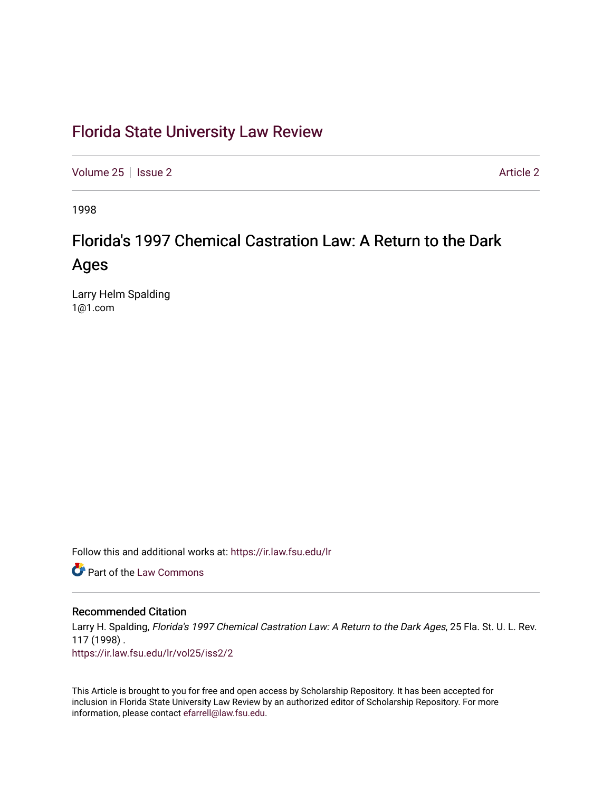### [Florida State University Law Review](https://ir.law.fsu.edu/lr)

[Volume 25](https://ir.law.fsu.edu/lr/vol25) | [Issue 2](https://ir.law.fsu.edu/lr/vol25/iss2) Article 2

1998

## Florida's 1997 Chemical Castration Law: A Return to the Dark Ages

Larry Helm Spalding 1@1.com

Follow this and additional works at: [https://ir.law.fsu.edu/lr](https://ir.law.fsu.edu/lr?utm_source=ir.law.fsu.edu%2Flr%2Fvol25%2Fiss2%2F2&utm_medium=PDF&utm_campaign=PDFCoverPages) 

**Part of the [Law Commons](http://network.bepress.com/hgg/discipline/578?utm_source=ir.law.fsu.edu%2Flr%2Fvol25%2Fiss2%2F2&utm_medium=PDF&utm_campaign=PDFCoverPages)** 

#### Recommended Citation

Larry H. Spalding, Florida's 1997 Chemical Castration Law: A Return to the Dark Ages, 25 Fla. St. U. L. Rev. 117 (1998) . [https://ir.law.fsu.edu/lr/vol25/iss2/2](https://ir.law.fsu.edu/lr/vol25/iss2/2?utm_source=ir.law.fsu.edu%2Flr%2Fvol25%2Fiss2%2F2&utm_medium=PDF&utm_campaign=PDFCoverPages)

This Article is brought to you for free and open access by Scholarship Repository. It has been accepted for inclusion in Florida State University Law Review by an authorized editor of Scholarship Repository. For more information, please contact [efarrell@law.fsu.edu](mailto:efarrell@law.fsu.edu).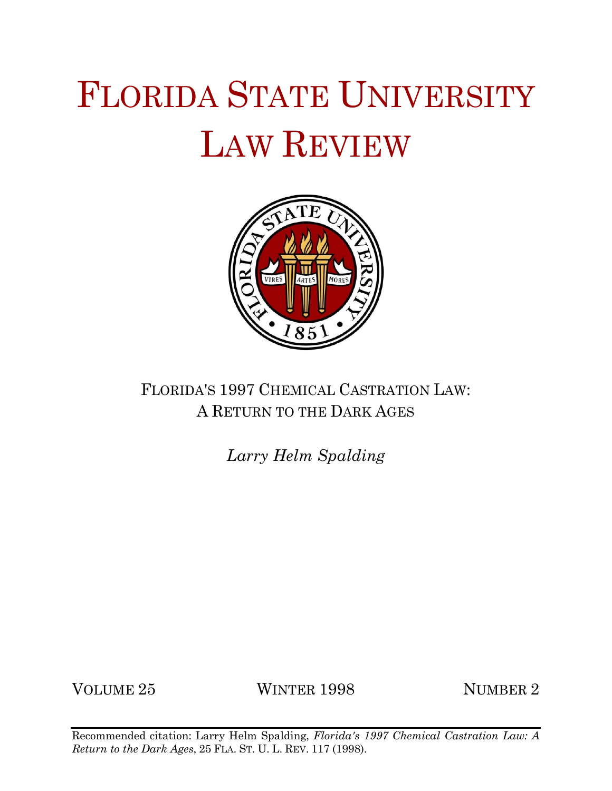# FLORIDA STATE UNIVERSITY LAW REVIEW



## FLORIDA'S 1997 CHEMICAL CASTRATION LAW: A RETURN TO THE DARK AGES

*Larry Helm Spalding*

VOLUME 25 WINTER 1998 NUMBER 2

Recommended citation: Larry Helm Spalding, *Florida's 1997 Chemical Castration Law: A Return to the Dark Ages*, 25 FLA. ST. U. L. REV. 117 (1998).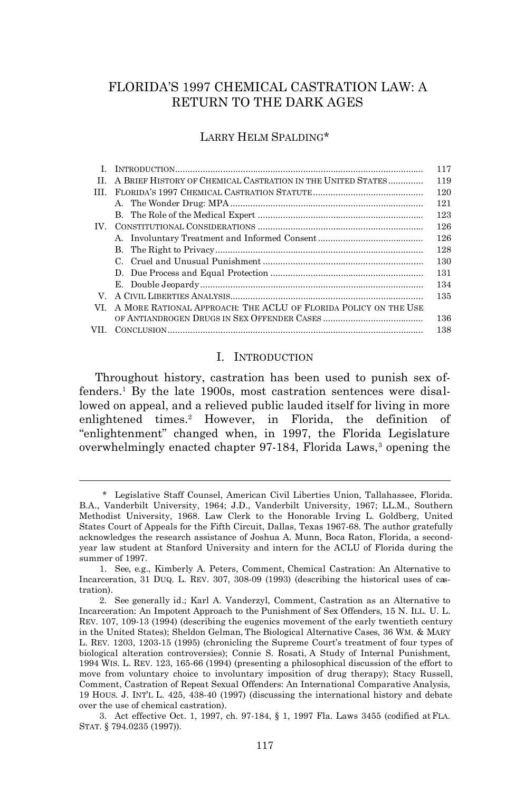#### FLORIDA'S 1997 CHEMICAL CASTRATION LAW: A RETURN TO THE DARK AGES

#### LARRY HELM SPALDING\*

|      |                                                                 | 117 |
|------|-----------------------------------------------------------------|-----|
| H.   | A BRIEF HISTORY OF CHEMICAL CASTRATION IN THE UNITED STATES     | 119 |
| Ш    |                                                                 | 120 |
|      |                                                                 | 121 |
|      |                                                                 | 123 |
| IV — |                                                                 | 126 |
|      |                                                                 | 126 |
|      |                                                                 | 128 |
|      |                                                                 | 130 |
|      |                                                                 | 131 |
|      |                                                                 | 134 |
| V    |                                                                 | 135 |
| VI.  | A MORE RATIONAL APPROACH: THE ACLU OF FLORIDA POLICY ON THE USE |     |
|      |                                                                 | 136 |
| VII. |                                                                 | 138 |

#### I. INTRODUCTION

Throughout history, castration has been used to punish sex offenders.<sup>1</sup> By the late 1900s, most castration sentences were disallowed on appeal, and a relieved public lauded itself for living in more enlightened times.<sup>2</sup> However, in Florida, the definition of "enlightenment" changed when, in 1997, the Florida Legislature overwhelmingly enacted chapter 97-184, Florida Laws,<sup>3</sup> opening the

1

<sup>\*</sup> Legislative Staff Counsel, American Civil Liberties Union, Tallahassee, Florida. B.A., Vanderbilt University, 1964; J.D., Vanderbilt University, 1967; LL.M., Southern Methodist University, 1968. Law Clerk to the Honorable Irving L. Goldberg, United States Court of Appeals for the Fifth Circuit, Dallas, Texas 1967-68. The author gratefully acknowledges the research assistance of Joshua A. Munn, Boca Raton, Florida, a secondyear law student at Stanford University and intern for the ACLU of Florida during the summer of 1997.

<sup>1.</sup> *See*, *e.g.*, Kimberly A. Peters, Comment, *Chemical Castration: An Alternative to Incarceration*, 31 DUQ. L. REV. 307, 308-09 (1993) (describing the historical uses of castration).

<sup>2.</sup> *See generally id.*; Karl A. Vanderzyl, Comment, *Castration as an Alternative to Incarceration: An Impotent Approach to the Punishment of Sex Offenders*, 15 N. ILL. U. L. REV. 107, 109-13 (1994) (describing the eugenics movement of the early twentieth century in the United States); Sheldon Gelman, *The Biological Alternative Cases*, 36 WM. & MARY L. REV. 1203, 1203-15 (1995) (chronicling the Supreme Court's treatment of four types of biological alteration controversies); Connie S. Rosati, *A Study of Internal Punishment*, 1994 WIS. L. REV. 123, 165-66 (1994) (presenting a philosophical discussion of the effort to move from voluntary choice to involuntary imposition of drug therapy); Stacy Russell, Comment, *Castration of Repeat Sexual Offenders: An International Comparative Analysis*, 19 HOUS. J. INT'L L. 425, 438-40 (1997) (discussing the international history and debate over the use of chemical castration).

<sup>3.</sup> Act effective Oct. 1, 1997, ch. 97-184, § 1, 1997 Fla. Laws 3455 (codified at FLA. STAT. § 794.0235 (1997)).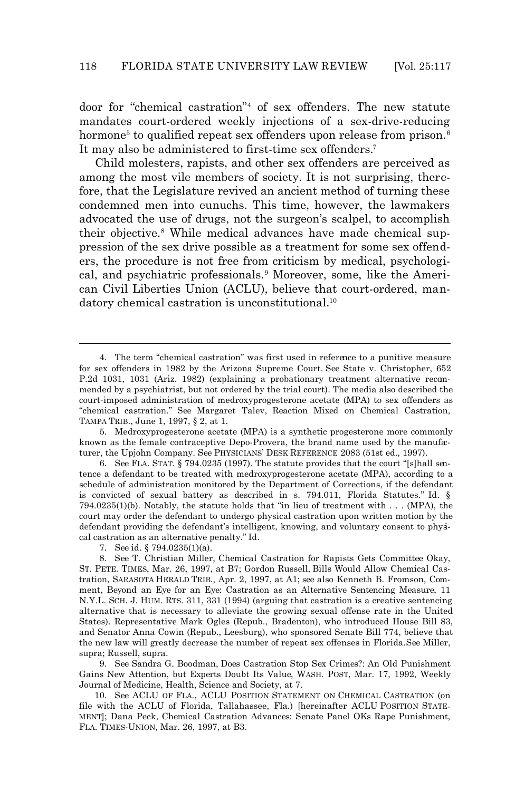door for "chemical castration"<sup>4</sup> of sex offenders. The new statute mandates court-ordered weekly injections of a sex-drive-reducing hormone<sup>5</sup> to qualified repeat sex offenders upon release from prison.<sup>6</sup> It may also be administered to first-time sex offenders.<sup>7</sup>

Child molesters, rapists, and other sex offenders are perceived as among the most vile members of society. It is not surprising, therefore, that the Legislature revived an ancient method of turning these condemned men into eunuchs. This time, however, the lawmakers advocated the use of drugs, not the surgeon's scalpel, to accomplish their objective.<sup>8</sup> While medical advances have made chemical suppression of the sex drive possible as a treatment for some sex offenders, the procedure is not free from criticism by medical, psychological, and psychiatric professionals.<sup>9</sup> Moreover, some, like the American Civil Liberties Union (ACLU), believe that court-ordered, mandatory chemical castration is unconstitutional.<sup>10</sup>

6. *See* FLA. STAT. § 794.0235 (1997). The statute provides that the court "[s]hall sentence a defendant to be treated with medroxyprogesterone acetate (MPA), according to a schedule of administration monitored by the Department of Corrections, if the defendant is convicted of sexual battery as described in s. 794.011, Florida Statutes." *Id.* § 794.0235(1)(b). Notably, the statute holds that "in lieu of treatment with . . . (MPA), the court may order the defendant to undergo physical castration upon written motion by the defendant providing the defendant's intelligent, knowing, and voluntary consent to physical castration as an alternative penalty." *Id.*

 $\overline{a}$ 

9. *See* Sandra G. Boodman, *Does Castration Stop Sex Crimes?: An Old Punishment Gains New Attention, but Experts Doubt Its Value*, WASH. POST, Mar. 17, 1992, Weekly Journal of Medicine, Health, Science and Society, at 7.

10. *See* ACLU OF FLA., ACLU POSITION STATEMENT ON CHEMICAL CASTRATION (on file with the ACLU of Florida, Tallahassee, Fla.) [hereinafter ACLU POSITION STATE-MENT]; Dana Peck, *Chemical Castration Advances: Senate Panel OKs Rape Punishment*, FLA. TIMES-UNION, Mar. 26, 1997, at B3.

<sup>4.</sup> The term "chemical castration" was first used in reference to a punitive measure for sex offenders in 1982 by the Arizona Supreme Court. *See* State v. Christopher, 652 P.2d 1031, 1031 (Ariz. 1982) (explaining a probationary treatment alternative recommended by a psychiatrist, but not ordered by the trial court). The media also described the court-imposed administration of medroxyprogesterone acetate (MPA) to sex offenders as "chemical castration." *See* Margaret Talev, *Reaction Mixed on Chemical Castration*, TAMPA TRIB., June 1, 1997, § 2, at 1.

<sup>5.</sup> Medroxyprogesterone acetate (MPA) is a synthetic progesterone more commonly known as the female contraceptive Depo-Provera, the brand name used by the manufaturer, the Upjohn Company. *See* PHYSICIANS' DESK REFERENCE 2083 (51st ed., 1997).

<sup>7.</sup> *See id.* § 794.0235(1)(a).

<sup>8.</sup> *See* T. Christian Miller, *Chemical Castration for Rapists Gets Committee Okay*, ST. PETE. TIMES, Mar. 26, 1997, at B7; Gordon Russell, *Bills Would Allow Chemical Castration*, SARASOTA HERALD TRIB., Apr. 2, 1997, at A1; *see also* Kenneth B. Fromson, Comment, *Beyond an Eye for an Eye: Castration as an Alternative Sentencing Measure*, 11 N.Y.L. SCH. J. HUM. RTS. 311, 331 (1994) (arguing that castration is a creative sentencing alternative that is necessary to alleviate the growing sexual offense rate in the United States). Representative Mark Ogles (Repub., Bradenton), who introduced House Bill 83, and Senator Anna Cowin (Repub., Leesburg), who sponsored Senate Bill 774, believe that the new law will greatly decrease the number of repeat sex offenses in Florida. *See* Miller, *supra*; Russell, *supra*.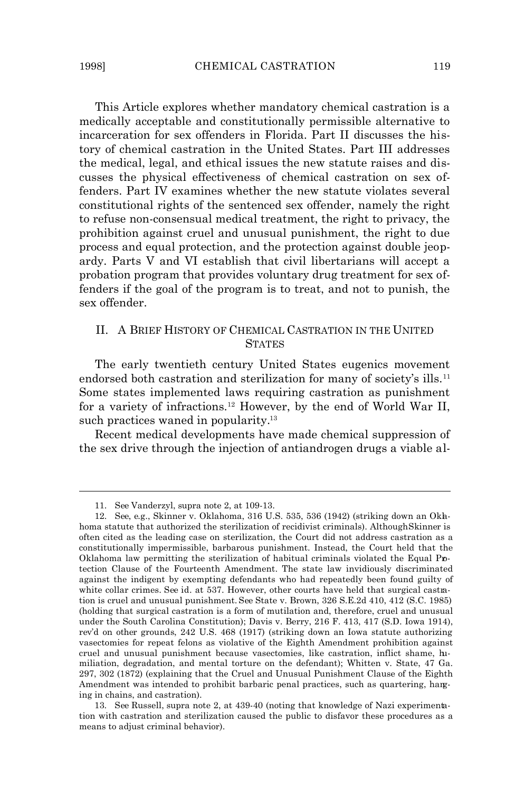This Article explores whether mandatory chemical castration is a medically acceptable and constitutionally permissible alternative to incarceration for sex offenders in Florida. Part II discusses the history of chemical castration in the United States. Part III addresses the medical, legal, and ethical issues the new statute raises and discusses the physical effectiveness of chemical castration on sex offenders. Part IV examines whether the new statute violates several constitutional rights of the sentenced sex offender, namely the right to refuse non-consensual medical treatment, the right to privacy, the prohibition against cruel and unusual punishment, the right to due process and equal protection, and the protection against double jeopardy. Parts V and VI establish that civil libertarians will accept a probation program that provides voluntary drug treatment for sex offenders if the goal of the program is to treat, and not to punish, the sex offender.

#### II. A BRIEF HISTORY OF CHEMICAL CASTRATION IN THE UNITED **STATES**

The early twentieth century United States eugenics movement endorsed both castration and sterilization for many of society's ills.<sup>11</sup> Some states implemented laws requiring castration as punishment for a variety of infractions.12 However, by the end of World War II, such practices waned in popularity.<sup>13</sup>

Recent medical developments have made chemical suppression of the sex drive through the injection of antiandrogen drugs a viable al-

<sup>11.</sup> *See* Vanderzyl, *supra* note 2, at 109-13.

<sup>12.</sup> *See*, *e.g.*, Skinner v. Oklahoma, 316 U.S. 535, 536 (1942) (striking down an Oklahoma statute that authorized the sterilization of recidivist criminals). Although *Skinner* is often cited as the leading case on sterilization, the Court did not address castration as a constitutionally impermissible, barbarous punishment. Instead, the Court held that the Oklahoma law permitting the sterilization of habitual criminals violated the Equal Protection Clause of the Fourteenth Amendment. The state law invidiously discriminated against the indigent by exempting defendants who had repeatedly been found guilty of white collar crimes. *See id.* at 537. However, other courts have held that surgical castration is cruel and unusual punishment. *See* State v. Brown, 326 S.E.2d 410, 412 (S.C. 1985) (holding that surgical castration is a form of mutilation and, therefore, cruel and unusual under the South Carolina Constitution); Davis v. Berry, 216 F. 413, 417 (S.D. Iowa 1914), *rev'd on other grounds*, 242 U.S. 468 (1917) (striking down an Iowa statute authorizing vasectomies for repeat felons as violative of the Eighth Amendment prohibition against cruel and unusual punishment because vasectomies, like castration, inflict shame, humiliation, degradation, and mental torture on the defendant); Whitten v. State, 47 Ga. 297, 302 (1872) (explaining that the Cruel and Unusual Punishment Clause of the Eighth Amendment was intended to prohibit barbaric penal practices, such as quartering, hanging in chains, and castration).

<sup>13.</sup> *See* Russell, *supra* note 2, at 439-40 (noting that knowledge of Nazi experimentation with castration and sterilization caused the public to disfavor these procedures as a means to adjust criminal behavior).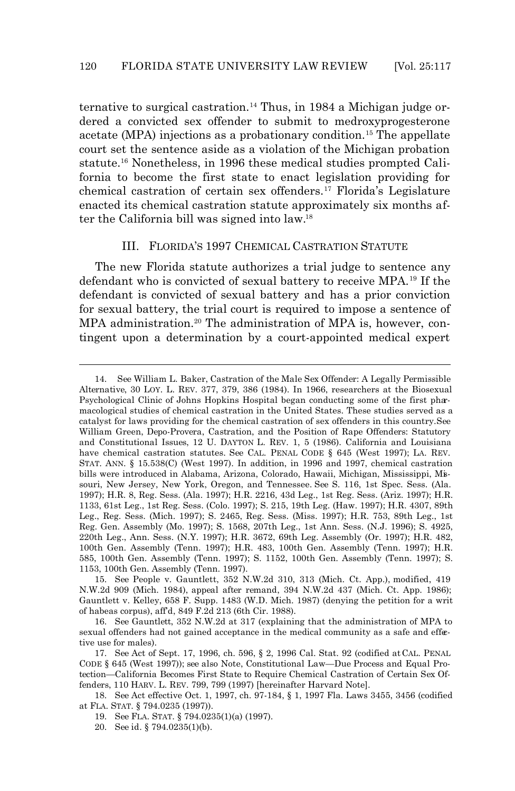ternative to surgical castration.14 Thus, in 1984 a Michigan judge ordered a convicted sex offender to submit to medroxyprogesterone acetate (MPA) injections as a probationary condition.<sup>15</sup> The appellate court set the sentence aside as a violation of the Michigan probation statute.16 Nonetheless, in 1996 these medical studies prompted California to become the first state to enact legislation providing for chemical castration of certain sex offenders.17 Florida's Legislature enacted its chemical castration statute approximately six months after the California bill was signed into law.<sup>18</sup>

#### III. FLORIDA'S 1997 CHEMICAL CASTRATION STATUTE

The new Florida statute authorizes a trial judge to sentence *any* defendant who is convicted of sexual battery to receive MPA.19 If the defendant is convicted of sexual battery *and* has a prior conviction for sexual battery, the trial court is *required* to impose a sentence of MPA administration.20 The administration of MPA is, however, *contingent* upon a determination by a court-appointed medical expert

20. *See id.* § 794.0235(1)(b).

<sup>14.</sup> *See* William L. Baker, *Castration of the Male Sex Offender: A Legally Permissible Alternative*, 30 LOY. L. REV. 377, 379, 386 (1984). In 1966, researchers at the Biosexual Psychological Clinic of Johns Hopkins Hospital began conducting some of the first pharmacological studies of chemical castration in the United States. These studies served as a catalyst for laws providing for the chemical castration of sex offenders in this country. *See* William Green, *Depo-Provera, Castration, and the Position of Rape Offenders: Statutory and Constitutional Issues*, 12 U. DAYTON L. REV. 1, 5 (1986). California and Louisiana have chemical castration statutes. *See* CAL. PENAL CODE § 645 (West 1997); LA. REV. STAT. ANN. § 15.538(C) (West 1997). In addition, in 1996 and 1997, chemical castration bills were introduced in Alabama, Arizona, Colorado, Hawaii, Michigan, Mississippi, Missouri, New Jersey, New York, Oregon, and Tennessee. *See* S. 116, 1st Spec. Sess. (Ala. 1997); H.R. 8, Reg. Sess. (Ala. 1997); H.R. 2216, 43d Leg., 1st Reg. Sess. (Ariz. 1997); H.R. 1133, 61st Leg., 1st Reg. Sess. (Colo. 1997); S. 215, 19th Leg. (Haw. 1997); H.R. 4307, 89th Leg., Reg. Sess. (Mich. 1997); S. 2465, Reg. Sess. (Miss. 1997); H.R. 753, 89th Leg., 1st Reg. Gen. Assembly (Mo. 1997); S. 1568, 207th Leg., 1st Ann. Sess. (N.J. 1996); S. 4925, 220th Leg., Ann. Sess. (N.Y. 1997); H.R. 3672, 69th Leg. Assembly (Or. 1997); H.R. 482, 100th Gen. Assembly (Tenn. 1997); H.R. 483, 100th Gen. Assembly (Tenn. 1997); H.R. 585, 100th Gen. Assembly (Tenn. 1997); S. 1152, 100th Gen. Assembly (Tenn. 1997); S. 1153, 100th Gen. Assembly (Tenn. 1997).

<sup>15.</sup> *See* People v. Gauntlett, 352 N.W.2d 310, 313 (Mich. Ct. App.), *modified,* 419 N.W.2d 909 (Mich. 1984), *appeal after remand,* 394 N.W.2d 437 (Mich. Ct. App. 1986); Gauntlett v. Kelley, 658 F. Supp. 1483 (W.D. Mich. 1987) (denying the petition for a writ of habeas corpus), *aff'd,* 849 F.2d 213 (6th Cir. 1988).

<sup>16.</sup> *See Gauntlett*, 352 N.W.2d at 317 (explaining that the administration of MPA to sexual offenders had not gained acceptance in the medical community as a safe and effective use for males).

<sup>17.</sup> *See* Act of Sept. 17, 1996, ch. 596, § 2, 1996 Cal. Stat. 92 (codified at CAL. PENAL CODE § 645 (West 1997)); *see also* Note, *Constitutional Law—Due Process and Equal Protection—California Becomes First State to Require Chemical Castration of Certain Sex Offenders*, 110 HARV. L. REV. 799, 799 (1997) [hereinafter Harvard Note].

<sup>18.</sup> *See* Act effective Oct. 1, 1997, ch. 97-184, § 1, 1997 Fla. Laws 3455, 3456 (codified at FLA. STAT. § 794.0235 (1997)).

<sup>19.</sup> *See* FLA. STAT. § 794.0235(1)(a) (1997).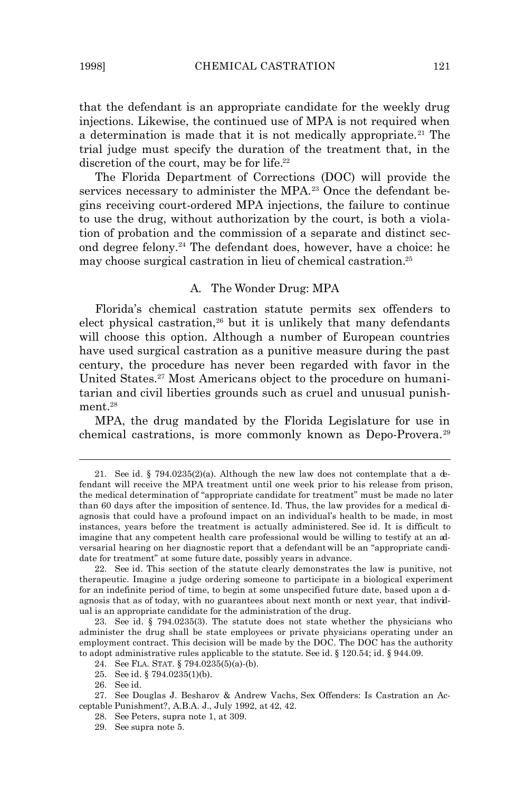that the defendant is an appropriate candidate for the weekly drug injections. Likewise, the continued use of MPA is not required when a determination is made that it is not medically appropriate.<sup>21</sup> The trial judge must specify the duration of the treatment that, in the discretion of the court, may be for life.<sup>22</sup>

The Florida Department of Corrections (DOC) will provide the services necessary to administer the MPA.<sup>23</sup> Once the defendant begins receiving court-ordered MPA injections, the failure to continue to use the drug, without authorization by the court, is both a violation of probation *and* the commission of a separate and distinct second degree felony.24 The defendant does, however, have a choice: he may choose surgical castration in lieu of chemical castration.<sup>25</sup>

#### *A. The Wonder Drug: MPA*

Florida's chemical castration statute permits sex offenders to elect physical castration,<sup>26</sup> but it is unlikely that many defendants will choose this option. Although a number of European countries have used surgical castration as a punitive measure during the past century, the procedure has never been regarded with favor in the United States.27 Most Americans object to the procedure on humanitarian and civil liberties grounds such as cruel and unusual punishment.<sup>28</sup>

MPA, the drug mandated by the Florida Legislature for use in chemical castrations, is more commonly known as Depo-Provera.<sup>29</sup>

<sup>21.</sup> *See id.* § 794.0235(2)(a). Although the new law does not contemplate that a defendant will receive the MPA treatment until one week prior to his release from prison, the medical determination of "appropriate candidate for treatment" must be made no later than 60 days after the imposition of sentence. *Id.* Thus, the law provides for a medical diagnosis that could have a profound impact on an individual's health to be made, in most instances, years before the treatment is actually administered. *See id.* It is difficult to imagine that *any* competent health care professional would be willing to testify at an adversarial hearing on her diagnostic report that a defendant *will be* an "appropriate candidate for treatment" at some *future* date, possibly years in advance.

<sup>22.</sup> *See id.* This section of the statute clearly demonstrates the law is punitive, not therapeutic. Imagine a judge ordering someone to participate in a biological experiment for an indefinite period of time, to begin at some unspecified future date, based upon a dagnosis that as of *today*, with no guarantees about next month or next year, that individual is an appropriate candidate for the administration of the drug.

<sup>23.</sup> *See id.* § 794.0235(3). The statute does not state whether the physicians who administer the drug shall be state employees or private physicians operating under an employment contract. This decision will be made by the DOC. The DOC has the authority to adopt administrative rules applicable to the statute. *See id.* § 120.54; *id.* § 944.09.

<sup>24.</sup> *See* FLA. STAT. § 794.0235(5)(a)-(b).

<sup>25.</sup> *See id*. § 794.0235(1)(b).

<sup>26.</sup> *See id.*

<sup>27.</sup> *See* Douglas J. Besharov & Andrew Vachs, *Sex Offenders: Is Castration an Acceptable Punishment?*, A.B.A. J., July 1992, at 42, 42.

<sup>28.</sup> *See* Peters, *supra* note 1, at 309.

<sup>29.</sup> *See supra* note 5.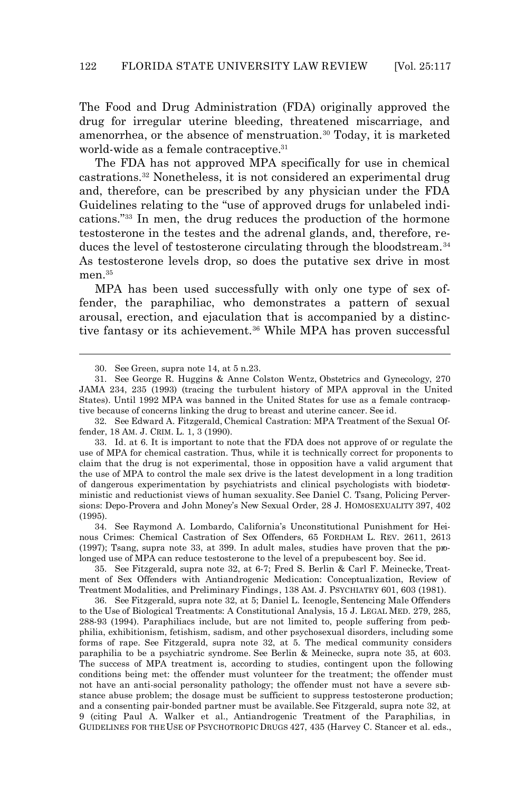The Food and Drug Administration (FDA) originally approved the drug for irregular uterine bleeding, threatened miscarriage, and amenorrhea, or the absence of menstruation.<sup>30</sup> Today, it is marketed world-wide as a female contraceptive.<sup>31</sup>

The FDA has not approved MPA specifically for use in chemical castrations.32 Nonetheless, it is not considered an experimental drug and, therefore, can be prescribed by any physician under the FDA Guidelines relating to the "use of approved drugs for unlabeled indications."33 In men, the drug reduces the production of the hormone testosterone in the testes and the adrenal glands, and, therefore, reduces the level of testosterone circulating through the bloodstream.<sup>34</sup> As testosterone levels drop, so does the putative sex drive in most men.<sup>35</sup>

MPA has been used successfully with only one type of sex offender, the paraphiliac, who demonstrates a pattern of sexual arousal, erection, and ejaculation that is accompanied by a distinctive fantasy or its achievement.<sup>36</sup> While MPA has proven successful

 $\overline{a}$ 

32. *See* Edward A. Fitzgerald, *Chemical Castration: MPA Treatment of the Sexual Offender*, 18 AM. J. CRIM. L. 1, 3 (1990).

33. *Id.* at 6. It is important to note that the FDA does not approve of or regulate the use of MPA for chemical castration. Thus, while it is technically correct for proponents to claim that the drug is not experimental, those in opposition have a valid argument that the use of MPA to control the male sex drive is the latest development in a long tradition of dangerous experimentation by psychiatrists and clinical psychologists with biodeterministic and reductionist views of human sexuality. *See* Daniel C. Tsang, *Policing Perversions: Depo-Provera and John Money's New Sexual Order*, 28 J. HOMOSEXUALITY 397, 402 (1995).

34. *See* Raymond A. Lombardo, *California's Unconstitutional Punishment for Heinous Crimes: Chemical Castration of Sex Offenders*, 65 FORDHAM L. REV. 2611, 2613 (1997); Tsang, *supra* note 33, at 399. In adult males, studies have proven that the prolonged use of MPA can reduce testosterone to the level of a prepubescent boy. *See id*.

35. *See* Fitzgerald, *supra* note 32, at 6-7; Fred S. Berlin & Carl F. Meinecke, *Treatment of Sex Offenders with Antiandrogenic Medication: Conceptualization, Review of Treatment Modalities, and Preliminary Findings* , 138 AM. J. PSYCHIATRY 601, 603 (1981).

36. *See* Fitzgerald, *supra* note 32, at 5; Daniel L. Icenogle, *Sentencing Male Offenders to the Use of Biological Treatments: A Constitutional Analysis*, 15 J. LEGAL MED. 279, 285, 288-93 (1994). Paraphiliacs include, but are not limited to, people suffering from pedophilia, exhibitionism, fetishism, sadism, and other psychosexual disorders, including some forms of rape. *See* Fitzgerald, *supra* note 32, at 5. The medical community considers paraphilia to be a psychiatric syndrome. *See* Berlin & Meinecke, *supra* note 35, at 603. The success of MPA treatment is, according to studies, contingent upon the following conditions being met: the offender must volunteer for the treatment; the offender must not have an anti-social personality pathology; the offender must not have a severe substance abuse problem; the dosage must be sufficient to suppress testosterone production; and a consenting pair-bonded partner must be available. *See* Fitzgerald, *supra* note 32, at 9 (citing Paul A. Walker et al., *Antiandrogenic Treatment of the Paraphilias*, *in* GUIDELINES FOR THE USE OF PSYCHOTROPIC DRUGS 427, 435 (Harvey C. Stancer et al. eds.,

<sup>30.</sup> *See* Green, *supra* note 14, at 5 n.23.

<sup>31.</sup> *See* George R. Huggins & Anne Colston Wentz, *Obstetrics and Gynecology*, 270 JAMA 234, 235 (1993) (tracing the turbulent history of MPA approval in the United States). Until 1992 MPA was banned in the United States for use as a female contraceptive because of concerns linking the drug to breast and uterine cancer. *See id.*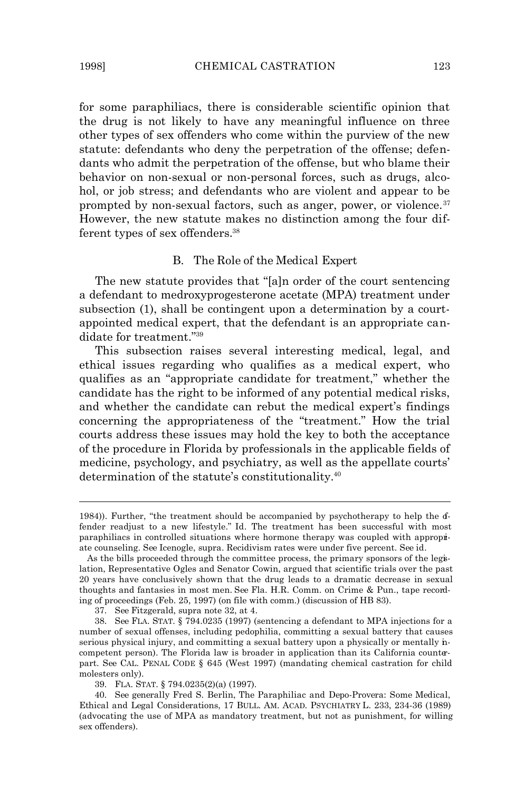for some paraphiliacs, there is considerable scientific opinion that the drug is not likely to have any meaningful influence on three other types of sex offenders who come within the purview of the new statute: defendants who deny the perpetration of the offense; defendants who admit the perpetration of the offense, but who blame their behavior on non-sexual or non-personal forces, such as drugs, alcohol, or job stress; and defendants who are violent and appear to be prompted by non-sexual factors, such as anger, power, or violence.<sup>37</sup> However, the new statute makes no distinction among the four different types of sex offenders.<sup>38</sup>

#### *B. The Role of the Medical Expert*

The new statute provides that "[a]n order of the court sentencing a defendant to medroxyprogesterone acetate (MPA) treatment under subsection (1), shall be contingent upon a determination by a courtappointed medical expert, that the defendant is an appropriate candidate for treatment."<sup>39</sup>

This subsection raises several interesting medical, legal, and ethical issues regarding who qualifies as a medical expert, who qualifies as an "appropriate candidate for treatment," whether the candidate has the right to be informed of any potential medical risks, and whether the candidate can rebut the medical expert's findings concerning the appropriateness of the "treatment." How the trial courts address these issues may hold the key to both the acceptance of the procedure in Florida by professionals in the applicable fields of medicine, psychology, and psychiatry, as well as the appellate courts' determination of the statute's constitutionality.<sup>40</sup>

37. *See* Fitzgerald, *supra* note 32, at 4.

<sup>1984)).</sup> Further, "the treatment should be accompanied by psychotherapy to help the  $d$ fender readjust to a new lifestyle." *Id.* The treatment has been successful with most paraphiliacs in controlled situations where hormone therapy was coupled with appropriate counseling. *See* Icenogle, *supra*. Recidivism rates were under five percent. *See id.*

As the bills proceeded through the committee process, the primary sponsors of the legislation, Representative Ogles and Senator Cowin, argued that scientific trials over the past 20 years have conclusively shown that the drug leads to a dramatic decrease in sexual thoughts and fantasies in most men. *See* Fla. H.R. Comm. on Crime & Pun., tape recording of proceedings (Feb. 25, 1997) (on file with comm.) (discussion of HB 83).

<sup>38.</sup> *See* FLA. STAT. § 794.0235 (1997) (sentencing a defendant to MPA injections for a number of sexual offenses, including pedophilia, committing a sexual battery that causes serious physical injury, and committing a sexual battery upon a physically or mentally incompetent person). The Florida law is broader in application than its California counterpart. *See* CAL. PENAL CODE § 645 (West 1997) (mandating chemical castration for child molesters only).

<sup>39.</sup> FLA. STAT. § 794.0235(2)(a) (1997).

<sup>40.</sup> *See generally* Fred S. Berlin, *The Paraphiliac and Depo-Provera: Some Medical, Ethical and Legal Considerations*, 17 BULL. AM. ACAD. PSYCHIATRY L. 233, 234-36 (1989) (advocating the use of MPA as mandatory treatment, but not as punishment, for willing sex offenders).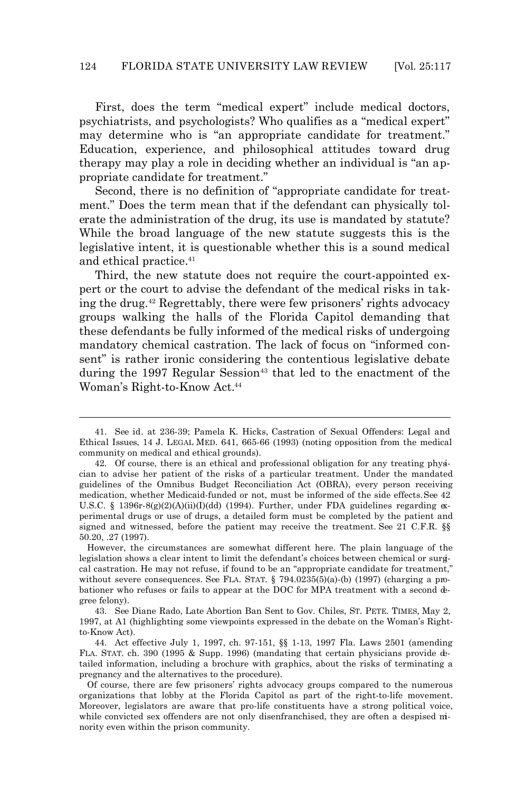First, does the term "medical expert" include medical doctors, psychiatrists, and psychologists? Who qualifies as a "medical expert" may determine who is "an appropriate candidate for treatment." Education, experience, and philosophical attitudes toward drug therapy may play a role in deciding whether an individual is "an appropriate candidate for treatment."

Second, there is no definition of "appropriate candidate for treatment." Does the term mean that if the defendant can physically *tolerate* the administration of the drug, its use is mandated by statute? While the broad language of the new statute suggests this is the legislative intent, it is questionable whether this is a sound medical and ethical practice.<sup>41</sup>

Third, the new statute does not require the court-appointed expert or the court to advise the defendant of the medical risks in taking the drug.42 Regrettably, there were few prisoners' rights advocacy groups walking the halls of the Florida Capitol demanding that these defendants be fully informed of the medical risks of undergoing mandatory chemical castration. The lack of focus on "informed consent" is rather ironic considering the contentious legislative debate during the 1997 Regular Session<sup>43</sup> that led to the enactment of the Woman's Right-to-Know Act.<sup>44</sup>

<sup>41.</sup> *See id.* at 236-39; Pamela K. Hicks, *Castration of Sexual Offenders: Legal and Ethical Issues*, 14 J. LEGAL MED. 641, 665-66 (1993) (noting opposition from the medical community on medical and ethical grounds).

<sup>42.</sup> Of course, there is an ethical and professional obligation for any treating physician to advise her patient of the risks of a particular treatment. Under the mandated guidelines of the Omnibus Budget Reconciliation Act (OBRA), every person receiving medication, whether Medicaid-funded or not, must be informed of the side effects. *See* 42 U.S.C. § 1396r-8(g)(2)(A)(ii)(I)(dd) (1994). Further, under FDA guidelines regarding  $\alpha$ perimental drugs or use of drugs, a detailed form must be completed by the patient and signed and witnessed, before the patient may receive the treatment. *See* 21 C.F.R. §§ 50.20, .27 (1997).

However, the circumstances are somewhat different here. The plain language of the legislation shows a clear intent to limit the defendant's choices between chemical or surgical castration. He may not refuse, if found to be an "appropriate candidate for treatment," without severe consequences. See FLA. STAT. § 794.0235(5)(a)-(b) (1997) (charging a probationer who refuses or fails to appear at the DOC for MPA treatment with a second degree felony).

<sup>43.</sup> *See* Diane Rado, *Late Abortion Ban Sent to Gov. Chiles*, ST. PETE. TIMES, May 2, 1997, at A1 (highlighting some viewpoints expressed in the debate on the Woman's Rightto-Know Act).

<sup>44.</sup> Act effective July 1, 1997, ch. 97-151, §§ 1-13, 1997 Fla. Laws 2501 (amending FLA. STAT. ch. 390 (1995 & Supp. 1996) (mandating that certain physicians provide detailed information, including a brochure with graphics, about the risks of terminating a pregnancy and the alternatives to the procedure).

Of course, there are few prisoners' rights advocacy groups compared to the numerous organizations that lobby at the Florida Capitol as part of the right-to-life movement. Moreover, legislators are aware that pro-life constituents have a strong political voice, while convicted sex offenders are not only disenfranchised, they are often a despised minority even within the prison community.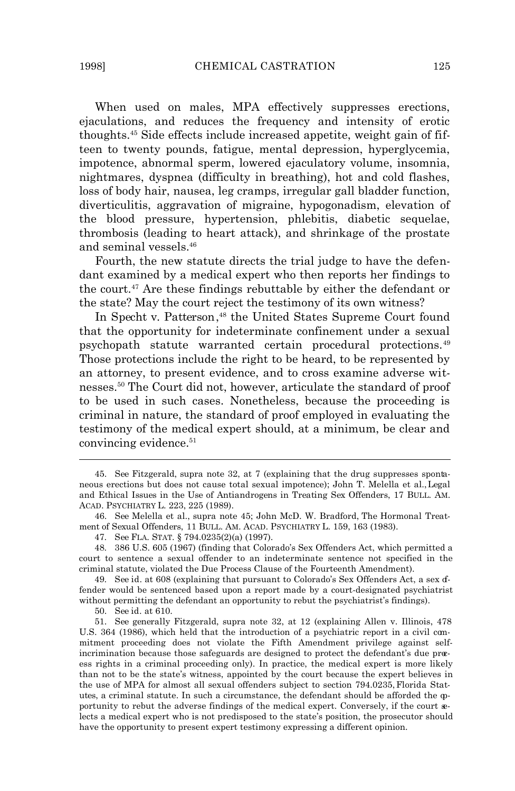When used on males, MPA effectively suppresses erections, ejaculations, and reduces the frequency and intensity of erotic thoughts.45 Side effects include increased appetite, weight gain of fifteen to twenty pounds, fatigue, mental depression, hyperglycemia, impotence, abnormal sperm, lowered ejaculatory volume, insomnia, nightmares, dyspnea (difficulty in breathing), hot and cold flashes, loss of body hair, nausea, leg cramps, irregular gall bladder function, diverticulitis, aggravation of migraine, hypogonadism, elevation of the blood pressure, hypertension, phlebitis, diabetic sequelae, thrombosis (leading to heart attack), and shrinkage of the prostate and seminal vessels.<sup>46</sup>

Fourth, the new statute directs the trial judge to have the defendant examined by a medical expert who then reports her findings to the court.47 Are these findings rebuttable by either the defendant or the state? May the court reject the testimony of its own witness?

In *Specht v. Patterson*, <sup>48</sup> the United States Supreme Court found that the opportunity for indeterminate confinement under a sexual psychopath statute warranted certain procedural protections.<sup>49</sup> Those protections include the right to be heard, to be represented by an attorney, to present evidence, and to cross examine adverse witnesses.50 The Court did not, however, articulate the standard of proof to be used in such cases. Nonetheless, because the proceeding is criminal in nature, the standard of proof employed in evaluating the testimony of the medical expert should, at a minimum, be clear and convincing evidence.<sup>51</sup>

49. *See id.* at 608 (explaining that pursuant to Colorado's Sex Offenders Act, a sex offender would be sentenced based upon a report made by a court-designated psychiatrist without permitting the defendant an opportunity to rebut the psychiatrist's findings).

50. *See id.* at 610.

 $\overline{a}$ 

51. *See generally* Fitzgerald, *supra* note 32, at 12 (explaining Allen v. Illinois, 478 U.S. 364 (1986), which held that the introduction of a psychiatric report in a civil commitment proceeding does not violate the Fifth Amendment privilege against selfincrimination because those safeguards are designed to protect the defendant's due process rights in a criminal proceeding only). In practice, the medical expert is more likely than not to be the state's witness, appointed by the court because the expert believes in the use of MPA for almost all sexual offenders subject to section 794.0235, *Florida Statutes*, a criminal statute. In such a circumstance, the defendant should be afforded the opportunity to rebut the adverse findings of the medical expert. Conversely, if the court selects a medical expert who is not predisposed to the state's position, the prosecutor should have the opportunity to present expert testimony expressing a different opinion.

<sup>45.</sup> *See* Fitzgerald, *supra* note 32, at 7 (explaining that the drug suppresses spontaneous erections but does not cause total sexual impotence); John T. Melella et al., *Legal and Ethical Issues in the Use of Antiandrogens in Treating Sex Offenders*, 17 BULL. AM. ACAD. PSYCHIATRY L. 223, 225 (1989).

<sup>46.</sup> *See* Melella et al., *supra* note 45; John McD. W. Bradford, *The Hormonal Treatment of Sexual Offenders,* 11 BULL. AM. ACAD. PSYCHIATRY L. 159, 163 (1983).

<sup>47.</sup> *See* FLA. STAT. § 794.0235(2)(a) (1997).

<sup>48.</sup> 386 U.S. 605 (1967) (finding that Colorado's Sex Offenders Act, which permitted a court to sentence a sexual offender to an indeterminate sentence not specified in the criminal statute, violated the Due Process Clause of the Fourteenth Amendment).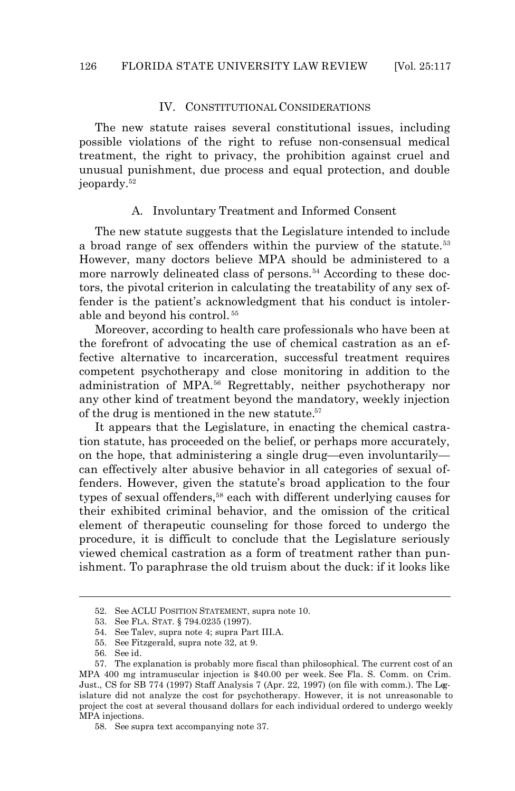#### IV. CONSTITUTIONAL CONSIDERATIONS

The new statute raises several constitutional issues, including possible violations of the right to refuse non-consensual medical treatment, the right to privacy, the prohibition against cruel and unusual punishment, due process and equal protection, and double jeopardy.<sup>52</sup>

#### *A. Involuntary Treatment and Informed Consent*

The new statute suggests that the Legislature intended to include a broad range of sex offenders within the purview of the statute.<sup>53</sup> However, many doctors believe MPA should be administered to a more narrowly delineated class of persons.<sup>54</sup> According to these doctors, the pivotal criterion in calculating the treatability of any sex offender is the patient's acknowledgment that his conduct is intolerable and beyond his control. <sup>55</sup>

Moreover, according to health care professionals who have been at the forefront of advocating the use of chemical castration as an effective alternative to incarceration, successful treatment requires competent psychotherapy and close monitoring in addition to the administration of MPA.56 Regrettably, neither psychotherapy nor any other kind of treatment beyond the mandatory, weekly injection of the drug is mentioned in the new statute.<sup>57</sup>

It appears that the Legislature, in enacting the chemical castration statute, has proceeded on the belief, or perhaps more accurately, on the *hope*, that administering a single drug—even involuntarily can effectively alter abusive behavior in all categories of sexual offenders. However, given the statute's broad application to the four types of sexual offenders,<sup>58</sup> each with different underlying causes for their exhibited criminal behavior, and the omission of the critical element of therapeutic counseling for those forced to undergo the procedure, it is difficult to conclude that the Legislature seriously viewed chemical castration as a form of treatment rather than punishment. To paraphrase the old truism about the duck: if it looks like

<sup>52.</sup> *See* ACLU POSITION STATEMENT, *supra* note 10.

<sup>53.</sup> *See* FLA. STAT. § 794.0235 (1997).

<sup>54.</sup> *See* Talev, *supra* note 4; *supra* Part III.A.

<sup>55.</sup> *See* Fitzgerald, *supra* note 32, at 9.

<sup>56.</sup> *See id.*

<sup>57.</sup> The explanation is probably more fiscal than philosophical. The current cost of an MPA 400 mg intramuscular injection is \$40.00 per week. *See* Fla. S. Comm. on Crim. Just., CS for SB 774 (1997) Staff Analysis 7 (Apr. 22, 1997) (on file with comm.). The Legislature did not analyze the cost for psychotherapy. However, it is not unreasonable to project the cost at several thousand dollars for each individual ordered to undergo weekly MPA injections.

<sup>58.</sup> *See supra* text accompanying note 37.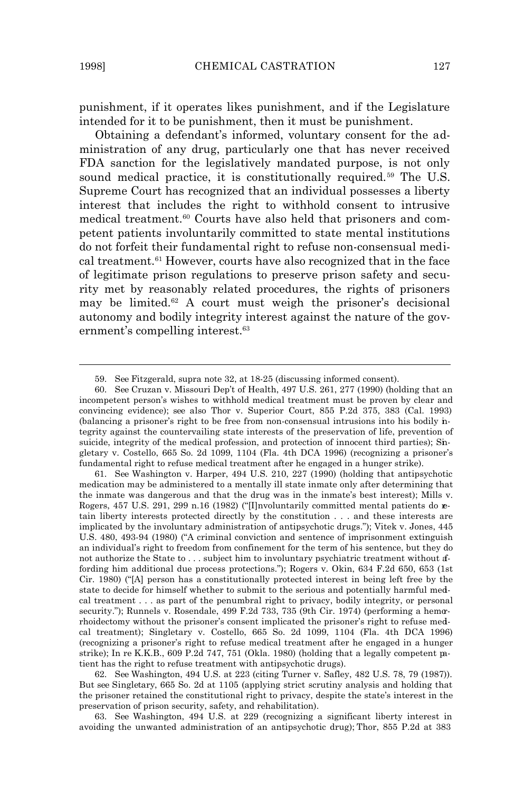$\overline{a}$ 

punishment, if it operates likes punishment, and if the Legislature intended for it to be punishment, then it must be punishment.

Obtaining a defendant's informed, voluntary consent for the administration of any drug, particularly one that has never received FDA sanction for the legislatively mandated purpose, is not only sound medical practice, it is constitutionally required.<sup>59</sup> The U.S. Supreme Court has recognized that an individual possesses a liberty interest that includes the right to withhold consent to intrusive medical treatment.<sup>60</sup> Courts have also held that prisoners and competent patients involuntarily committed to state mental institutions do not forfeit their fundamental right to refuse non-consensual medical treatment.61 However, courts have also recognized that in the face of legitimate prison regulations to preserve prison safety and security met by reasonably related procedures, the rights of prisoners may be limited.<sup>62</sup> A court must weigh the prisoner's decisional autonomy and bodily integrity interest against the nature of the government's compelling interest.<sup>63</sup>

61. *See* Washington v. Harper, 494 U.S. 210, 227 (1990) (holding that antipsychotic medication may be administered to a mentally ill state inmate only after determining that the inmate was dangerous and that the drug was in the inmate's best interest); Mills v. Rogers, 457 U.S. 291, 299 n.16 (1982) ("[I]nvoluntarily committed mental patients do retain liberty interests protected directly by the constitution . . . and these interests are implicated by the involuntary administration of antipsychotic drugs."); Vitek v. Jones, 445 U.S. 480, 493-94 (1980) ("A criminal conviction and sentence of imprisonment extinguish an individual's right to freedom from confinement for the term of his sentence, but they do not authorize the State to . . . subject him to involuntary psychiatric treatment without affording him additional due process protections."); Rogers v. Okin, 634 F.2d 650, 653 (1st Cir. 1980) ("[A] person has a constitutionally protected interest in being left free by the state to decide for himself whether to submit to the serious and potentially harmful medical treatment . . . as part of the penumbral right to privacy, bodily integrity, or personal security."); Runnels v. Rosendale, 499 F.2d 733, 735 (9th Cir. 1974) (performing a hemorrhoidectomy without the prisoner's consent implicated the prisoner's right to refuse medical treatment); Singletary v. Costello, 665 So. 2d 1099, 1104 (Fla. 4th DCA 1996) (recognizing a prisoner's right to refuse medical treatment after he engaged in a hunger strike); *In re* K.K.B., 609 P.2d 747, 751 (Okla. 1980) (holding that a legally competent patient has the right to refuse treatment with antipsychotic drugs).

62. *See Washington*, 494 U.S. at 223 (citing Turner v. Safley, 482 U.S. 78, 79 (1987)). *But see Singletary*, 665 So. 2d at 1105 (applying strict scrutiny analysis and holding that the prisoner retained the constitutional right to privacy, despite the state's interest in the preservation of prison security, safety, and rehabilitation).

63. *See Washington*, 494 U.S. at 229 (recognizing a significant liberty interest in avoiding the unwanted administration of an antipsychotic drug); *Thor*, 855 P.2d at 383

<sup>59.</sup> *See* Fitzgerald, *supra* note 32, at 18-25 (discussing informed consent).

<sup>60.</sup> *See* Cruzan v. Missouri Dep't of Health, 497 U.S. 261, 277 (1990) (holding that an incompetent person's wishes to withhold medical treatment must be proven by clear and convincing evidence); *see also* Thor v. Superior Court, 855 P.2d 375, 383 (Cal. 1993) (balancing a prisoner's right to be free from non-consensual intrusions into his bodily integrity against the countervailing state interests of the preservation of life, prevention of suicide, integrity of the medical profession, and protection of innocent third parties); Singletary v. Costello, 665 So. 2d 1099, 1104 (Fla. 4th DCA 1996) (recognizing a prisoner's fundamental right to refuse medical treatment after he engaged in a hunger strike).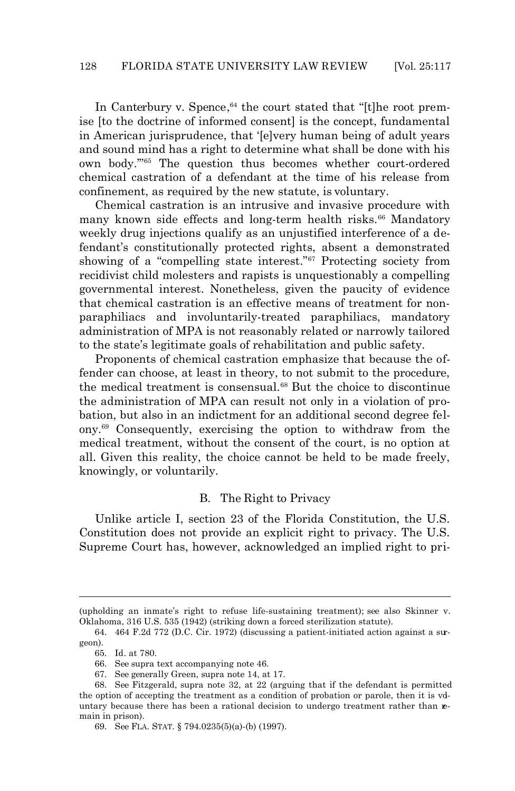In *Canterbury v. Spence*, 64 the court stated that "[t]he root premise [to the doctrine of informed consent] is the concept, fundamental in American jurisprudence, that '[e]very human being of adult years and sound mind has a right to determine what shall be done with his own body.'"65 The question thus becomes whether court-ordered chemical castration of a defendant at the time of his release from confinement, as required by the new statute, is *voluntary*.

Chemical castration is an intrusive and invasive procedure with many known side effects and long-term health risks.<sup>66</sup> Mandatory weekly drug injections qualify as an unjustified interference of a defendant's constitutionally protected rights, absent a demonstrated showing of a "compelling state interest."67 Protecting society from recidivist child molesters and rapists is unquestionably a compelling governmental interest. Nonetheless, given the paucity of evidence that chemical castration is an effective means of treatment for nonparaphiliacs and involuntarily-treated paraphiliacs, mandatory administration of MPA is not reasonably related or narrowly tailored to the state's legitimate goals of rehabilitation and public safety.

Proponents of chemical castration emphasize that because the offender can choose, at least in theory, to not submit to the procedure, the medical treatment is consensual.<sup>68</sup> But the *choice* to discontinue the administration of MPA can result not only in a violation of probation, but also in an indictment for an additional second degree felony.69 Consequently, exercising the option to withdraw from the medical treatment, without the consent of the court, is no option at all. Given this reality, the choice cannot be held to be made freely, knowingly, or voluntarily.

#### *B. The Right to Privacy*

Unlike article I, section 23 of the Florida Constitution, the U.S. Constitution does not provide an explicit right to privacy. The U.S. Supreme Court has, however, acknowledged an implied right to pri-

<sup>(</sup>upholding an inmate's right to refuse life-sustaining treatment); *see also* Skinner v. Oklahoma, 316 U.S. 535 (1942) (striking down a forced sterilization statute).

<sup>64.</sup> 464 F.2d 772 (D.C. Cir. 1972) (discussing a patient-initiated action against a surgeon).

<sup>65.</sup> *Id.* at 780.

<sup>66.</sup> *See supra* text accompanying note 46.

<sup>67.</sup> *See generally* Green, *supra* note 14, at 17.

<sup>68.</sup> *See* Fitzgerald, *supra* note 32, at 22 (arguing that if the defendant is permitted the option of accepting the treatment as a condition of probation or parole, then it is vduntary because there has been a rational decision to undergo treatment rather than remain in prison).

<sup>69.</sup> *See* FLA. STAT. § 794.0235(5)(a)-(b) (1997).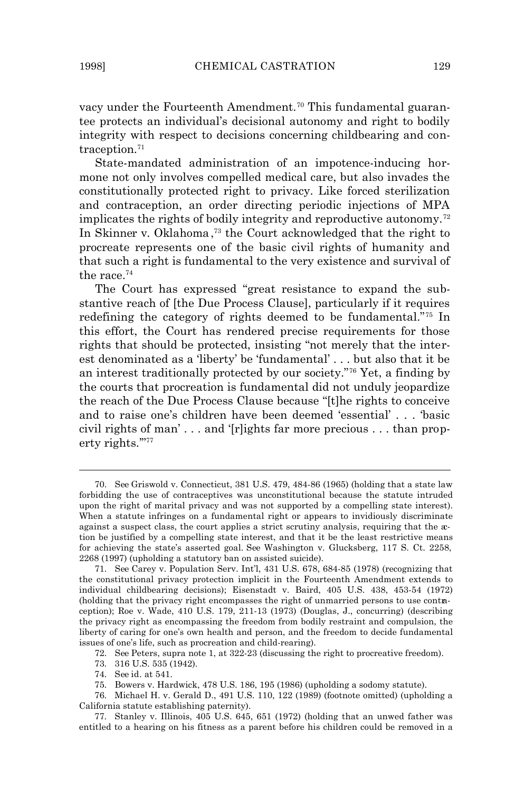$\overline{a}$ 

vacy under the Fourteenth Amendment.<sup>70</sup> This fundamental guarantee protects an individual's decisional autonomy and right to bodily integrity with respect to decisions concerning childbearing and contraception.<sup>71</sup>

State-mandated administration of an impotence-inducing hormone not only involves compelled medical care, but also invades the constitutionally protected right to privacy. Like forced sterilization and contraception, an order directing periodic injections of MPA implicates the rights of bodily integrity and reproductive autonomy.<sup>72</sup> In *Skinner v. Oklahoma*, <sup>73</sup> the Court acknowledged that the right to procreate represents one of the basic civil rights of humanity and that such a right is fundamental to the very existence and survival of the race.<sup>74</sup>

The Court has expressed "great resistance to expand the substantive reach of [the Due Process Clause], particularly if it requires redefining the category of rights deemed to be fundamental."75 In this effort, the Court has rendered precise requirements for those rights that should be protected, insisting "not merely that the interest denominated as a 'liberty' be 'fundamental' . . . but also that it be an interest traditionally protected by our society."76 Yet, a finding by the courts that procreation is fundamental did not unduly jeopardize the reach of the Due Process Clause because "[t]he rights to conceive and to raise one's children have been deemed 'essential' . . . 'basic civil rights of man' . . . and '[r]ights far more precious . . . than property rights.'"<sup>77</sup>

72. *See* Peters, *supra* note 1, at 322-23 (discussing the right to procreative freedom).

77. Stanley v. Illinois, 405 U.S. 645, 651 (1972) (holding that an unwed father was entitled to a hearing on his fitness as a parent before his children could be removed in a

<sup>70.</sup> *See* Griswold v. Connecticut, 381 U.S. 479, 484-86 (1965) (holding that a state law forbidding the use of contraceptives was unconstitutional because the statute intruded upon the right of marital privacy and was not supported by a compelling state interest). When a statute infringes on a fundamental right or appears to invidiously discriminate against a suspect class, the court applies a strict scrutiny analysis, requiring that the action be justified by a compelling state interest, and that it be the least restrictive means for achieving the state's asserted goal. *See* Washington v. Glucksberg, 117 S. Ct. 2258, 2268 (1997) (upholding a statutory ban on assisted suicide).

<sup>71.</sup> *See* Carey v. Population Serv. Int'l, 431 U.S. 678, 684-85 (1978) (recognizing that the constitutional privacy protection implicit in the Fourteenth Amendment extends to individual childbearing decisions); Eisenstadt v. Baird, 405 U.S. 438, 453-54 (1972) (holding that the privacy right encompasses the right of unmarried persons to use contraception); Roe v. Wade, 410 U.S. 179, 211-13 (1973) (Douglas, J., concurring) (describing the privacy right as encompassing the freedom from bodily restraint and compulsion, the liberty of caring for one's own health and person, and the freedom to decide fundamental issues of one's life, such as procreation and child-rearing).

<sup>73.</sup> 316 U.S. 535 (1942).

<sup>74.</sup> *See id.* at 541.

<sup>75.</sup> Bowers v. Hardwick, 478 U.S. 186, 195 (1986) (upholding a sodomy statute).

<sup>76.</sup> Michael H. v. Gerald D., 491 U.S. 110, 122 (1989) (footnote omitted) (upholding a California statute establishing paternity).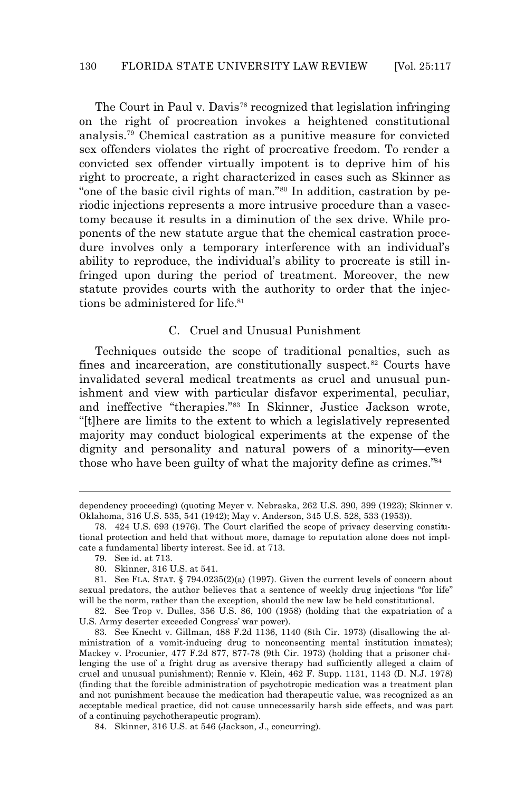The Court in *Paul v. Davis*78 recognized that legislation infringing on the right of procreation invokes a heightened constitutional analysis.79 Chemical castration as a punitive measure for convicted sex offenders violates the right of procreative freedom. To render a convicted sex offender virtually impotent is to deprive him of his right to procreate, a right characterized in cases such as *Skinner* as "one of the basic civil rights of man."80 In addition, castration by periodic injections represents a more intrusive procedure than a vasectomy because it results in a diminution of the sex drive. While proponents of the new statute argue that the chemical castration procedure involves only a temporary interference with an individual's ability to reproduce, the individual's ability to procreate is still infringed upon during the period of treatment. Moreover, the new statute provides courts with the authority to order that the injections be administered for life.<sup>81</sup>

#### *C. Cruel and Unusual Punishment*

Techniques outside the scope of traditional penalties, such as fines and incarceration, are constitutionally suspect.<sup>82</sup> Courts have invalidated several medical treatments as cruel and unusual punishment and view with particular disfavor experimental, peculiar, and ineffective "therapies."83 In *Skinner*, Justice Jackson wrote, "[t]here are limits to the extent to which a legislatively represented majority may conduct biological experiments at the expense of the dignity and personality and natural powers of a minority—even those who have been guilty of what the majority define as crimes."<sup>84</sup>

dependency proceeding) (quoting Meyer v. Nebraska, 262 U.S. 390, 399 (1923); Skinner v. Oklahoma, 316 U.S. 535, 541 (1942); May v. Anderson, 345 U.S. 528, 533 (1953)).

<sup>78.</sup> 424 U.S. 693 (1976). The Court clarified the scope of privacy deserving constitutional protection and held that without more, damage to reputation alone does not implicate a fundamental liberty interest. *See id.* at 713.

<sup>79.</sup> *See id.* at 713.

<sup>80.</sup> *Skinner*, 316 U.S. at 541.

<sup>81.</sup> *See* FLA. STAT. § 794.0235(2)(a) (1997). Given the current levels of concern about sexual predators, the author believes that a sentence of weekly drug injections "for life" will be the norm, rather than the exception, should the new law be held constitutional.

<sup>82.</sup> *See* Trop v. Dulles, 356 U.S. 86, 100 (1958) (holding that the expatriation of a U.S. Army deserter exceeded Congress' war power).

<sup>83.</sup> *See* Knecht v. Gillman, 488 F.2d 1136, 1140 (8th Cir. 1973) (disallowing the administration of a vomit-inducing drug to nonconsenting mental institution inmates); Mackey v. Procunier, 477 F.2d 877, 877-78 (9th Cir. 1973) (holding that a prisoner challenging the use of a fright drug as aversive therapy had sufficiently alleged a claim of cruel and unusual punishment); Rennie v. Klein, 462 F. Supp. 1131, 1143 (D. N.J. 1978) (finding that the forcible administration of psychotropic medication was a treatment plan and not punishment because the medication had therapeutic value, was recognized as an acceptable medical practice, did not cause unnecessarily harsh side effects, and was part of a continuing psychotherapeutic program).

<sup>84.</sup> *Skinner*, 316 U.S. at 546 (Jackson, J., concurring).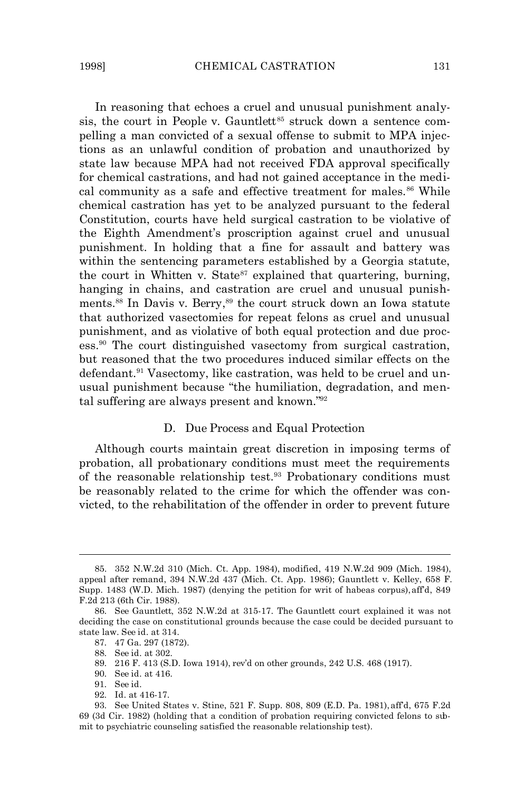In reasoning that echoes a cruel and unusual punishment analysis, the court in People v. Gauntlett<sup>85</sup> struck down a sentence compelling a man convicted of a sexual offense to submit to MPA injections as an unlawful condition of probation and unauthorized by state law because MPA had not received FDA approval specifically for chemical castrations, and had not gained acceptance in the medical community as a safe and effective treatment for males.<sup>86</sup> While chemical castration has yet to be analyzed pursuant to the federal Constitution, courts have held surgical castration to be violative of the Eighth Amendment's proscription against cruel and unusual punishment. In holding that a fine for assault and battery was within the sentencing parameters established by a Georgia statute, the court in Whitten v. State<sup>87</sup> explained that quartering, burning, hanging in chains, and castration are cruel and unusual punishments.88 In *Davis v. Berry*, <sup>89</sup> the court struck down an Iowa statute that authorized vasectomies for repeat felons as cruel and unusual punishment, and as violative of both equal protection and due process.90 The court distinguished vasectomy from surgical castration, but reasoned that the two procedures induced similar effects on the defendant.<sup>91</sup> Vasectomy, like castration, was held to be cruel and unusual punishment because "the humiliation, degradation, and mental suffering are always present and known."<sup>92</sup>

#### *D. Due Process and Equal Protection*

Although courts maintain great discretion in imposing terms of probation, all probationary conditions must meet the requirements of the reasonable relationship test.<sup>93</sup> Probationary conditions must be reasonably related to the crime for which the offender was convicted, to the rehabilitation of the offender in order to prevent future

 $\overline{a}$ 

92. *Id.* at 416-17.

<sup>85.</sup> 352 N.W.2d 310 (Mich. Ct. App. 1984), *modified,* 419 N.W.2d 909 (Mich. 1984), *appeal after remand,* 394 N.W.2d 437 (Mich. Ct. App. 1986); Gauntlett v. Kelley, 658 F. Supp. 1483 (W.D. Mich. 1987) (denying the petition for writ of habeas corpus), *aff'd,* 849 F.2d 213 (6th Cir. 1988).

<sup>86.</sup> *See Gauntlett*, 352 N.W.2d at 315-17. The *Gauntlett* court explained it was not deciding the case on constitutional grounds because the case could be decided pursuant to state law. *See id*. at 314.

<sup>87.</sup> 47 Ga. 297 (1872).

<sup>88.</sup> *See id.* at 302.

<sup>89.</sup> 216 F. 413 (S.D. Iowa 1914), *rev'd on other grounds*, 242 U.S. 468 (1917).

<sup>90.</sup> *See id.* at 416.

<sup>91.</sup> *See id.*

<sup>93.</sup> *See* United States v. Stine, 521 F. Supp. 808, 809 (E.D. Pa. 1981), *aff'd*, 675 F.2d 69 (3d Cir. 1982) (holding that a condition of probation requiring convicted felons to submit to psychiatric counseling satisfied the reasonable relationship test).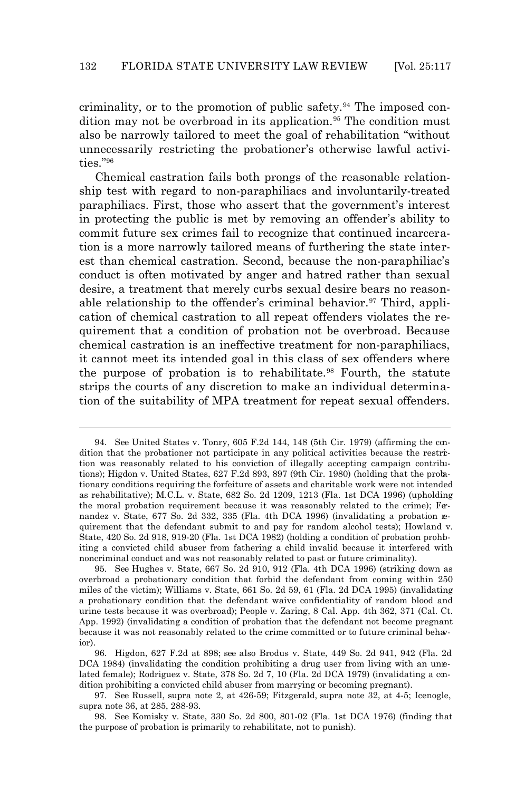criminality, or to the promotion of public safety.<sup>94</sup> The imposed condition may not be overbroad in its application.<sup>95</sup> The condition must also be narrowly tailored to meet the goal of rehabilitation "without unnecessarily restricting the probationer's otherwise lawful activities."<sup>96</sup>

Chemical castration fails both prongs of the reasonable relationship test with regard to non-paraphiliacs and involuntarily-treated paraphiliacs. First, those who assert that the government's interest in protecting the public is met by removing an offender's ability to commit future sex crimes fail to recognize that continued incarceration is a more narrowly tailored means of furthering the state interest than chemical castration. Second, because the non-paraphiliac's conduct is often motivated by anger and hatred rather than sexual desire, a treatment that merely curbs sexual desire bears no reasonable relationship to the offender's criminal behavior.<sup>97</sup> Third, application of chemical castration to all repeat offenders violates the requirement that a condition of probation not be overbroad. Because chemical castration is an ineffective treatment for non-paraphiliacs, it cannot meet its intended goal in this class of sex offenders where the purpose of probation is to rehabilitate.<sup>98</sup> Fourth, the statute strips the courts of any discretion to make an individual determination of the suitability of MPA treatment for repeat sexual offenders.

l

<sup>94.</sup> *See* United States v. Tonry, 605 F.2d 144, 148 (5th Cir. 1979) (affirming the condition that the probationer not participate in any political activities because the restriction was reasonably related to his conviction of illegally accepting campaign contributions); Higdon v. United States, 627 F.2d 893, 897 (9th Cir. 1980) (holding that the probationary conditions requiring the forfeiture of assets and charitable work were not intended as rehabilitative); M.C.L. v. State, 682 So. 2d 1209, 1213 (Fla. 1st DCA 1996) (upholding the moral probation requirement because it was reasonably related to the crime); Fernandez v. State, 677 So. 2d 332, 335 (Fla. 4th DCA 1996) (invalidating a probation requirement that the defendant submit to and pay for random alcohol tests); Howland v. State, 420 So. 2d 918, 919-20 (Fla. 1st DCA 1982) (holding a condition of probation prohibiting a convicted child abuser from fathering a child invalid because it interfered with noncriminal conduct and was not reasonably related to past or future criminality).

<sup>95.</sup> *See* Hughes v. State, 667 So. 2d 910, 912 (Fla. 4th DCA 1996) (striking down as overbroad a probationary condition that forbid the defendant from coming within 250 miles of the victim); Williams v. State, 661 So. 2d 59, 61 (Fla. 2d DCA 1995) (invalidating a probationary condition that the defendant waive confidentiality of random blood and urine tests because it was overbroad); People v. Zaring, 8 Cal. App. 4th 362, 371 (Cal. Ct. App. 1992) (invalidating a condition of probation that the defendant not become pregnant because it was not reasonably related to the crime committed or to future criminal behavior).

<sup>96.</sup> *Higdon*, 627 F.2d at 898; *see also* Brodus v. State, 449 So. 2d 941, 942 (Fla. 2d DCA 1984) (invalidating the condition prohibiting a drug user from living with an unrelated female); Rodriguez v. State, 378 So. 2d 7, 10 (Fla. 2d DCA 1979) (invalidating a condition prohibiting a convicted child abuser from marrying or becoming pregnant).

<sup>97.</sup> *See* Russell, *supra* note 2, at 426-59; Fitzgerald, *supra* note 32, at 4-5; Icenogle, *supra* note 36, at 285, 288-93.

<sup>98.</sup> *See* Komisky v. State, 330 So. 2d 800, 801-02 (Fla. 1st DCA 1976) (finding that the purpose of probation is primarily to rehabilitate, not to punish).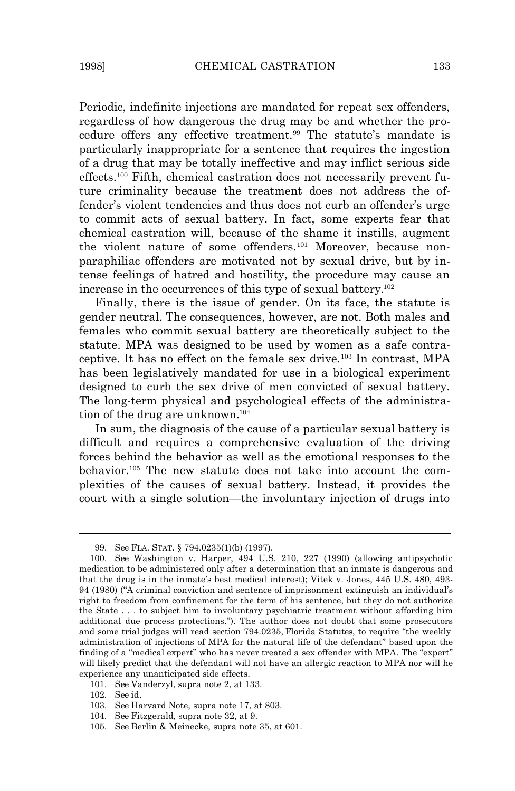Periodic, indefinite injections are mandated for repeat sex offenders, regardless of how dangerous the drug may be and whether the procedure offers any effective treatment.<sup>99</sup> The statute's mandate is particularly inappropriate for a sentence that requires the ingestion of a drug that may be totally ineffective and may inflict serious side effects.100 Fifth, chemical castration does not necessarily prevent future criminality because the treatment does not address the offender's violent tendencies and thus does not curb an offender's urge to commit acts of sexual battery. In fact, some experts fear that chemical castration will, because of the shame it instills, augment the violent nature of some offenders.101 Moreover, because nonparaphiliac offenders are motivated not by sexual drive, but by intense feelings of hatred and hostility, the procedure may cause an increase in the occurrences of this type of sexual battery.<sup>102</sup>

Finally, there is the issue of gender. On its face, the statute is gender neutral. The consequences, however, are not. Both males and females who commit sexual battery are theoretically subject to the statute. MPA was designed to be used by women as a safe contraceptive. It has no effect on the female sex drive.103 In contrast, MPA has been legislatively mandated for use in a biological experiment designed to curb the sex drive of men convicted of sexual battery. The long-term physical and psychological effects of the administration of the drug are unknown.<sup>104</sup>

In sum, the diagnosis of the cause of a particular sexual battery is difficult and requires a comprehensive evaluation of the driving forces behind the behavior as well as the emotional responses to the behavior.105 The new statute does not take into account the complexities of the causes of sexual battery. Instead, it provides the court with a single solution—the involuntary injection of drugs into

l

<sup>99.</sup> *See* FLA. STAT. § 794.0235(1)(b) (1997).

<sup>100.</sup> *See* Washington v. Harper, 494 U.S. 210, 227 (1990) (allowing antipsychotic medication to be administered only after a determination that an inmate is dangerous and that the drug is in the inmate's best medical interest); Vitek v. Jones, 445 U.S. 480, 493- 94 (1980) ("A criminal conviction and sentence of imprisonment extinguish an individual's right to freedom from confinement for the term of his sentence, but they do not authorize the State . . . to subject him to involuntary psychiatric treatment without affording him additional due process protections."). The author does not doubt that some prosecutors and some trial judges will read section 794.0235, *Florida Statutes*, to require "the weekly administration of injections of MPA for the natural life of the defendant" based upon the finding of a "medical expert" who has never treated a sex offender with MPA. The "expert" will likely predict that the defendant will not have an allergic reaction to MPA nor will he experience any unanticipated side effects.

<sup>101.</sup> *See* Vanderzyl, *supra* note 2, at 133.

<sup>102.</sup> *See id.*

<sup>103.</sup> *See* Harvard Note, *supra* note 17, at 803.

<sup>104.</sup> *See* Fitzgerald, *supra* note 32, at 9.

<sup>105.</sup> *See* Berlin & Meinecke, *supra* note 35, at 601.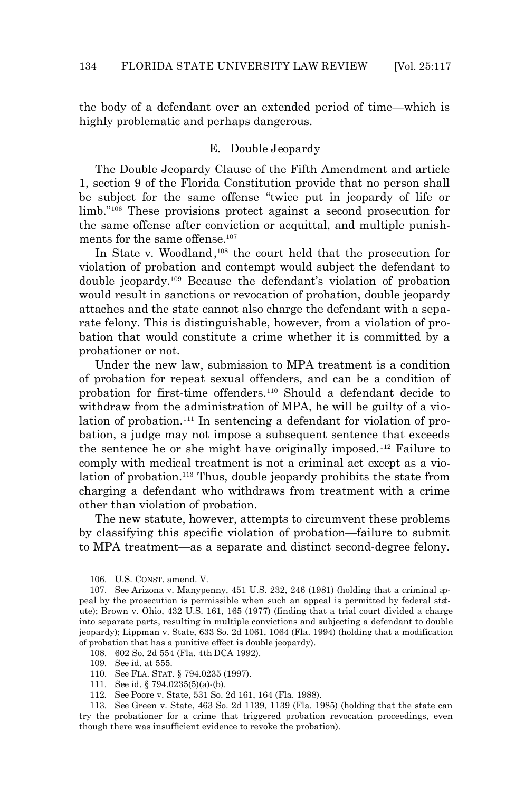the body of a defendant over an extended period of time—which is highly problematic and perhaps dangerous.

#### *E. Double Jeopardy*

The Double Jeopardy Clause of the Fifth Amendment and article 1, section 9 of the Florida Constitution provide that no person shall be subject for the same offense "twice put in jeopardy of life or limb."106 These provisions protect against a second prosecution for the same offense after conviction or acquittal, and multiple punishments for the same offense.<sup>107</sup>

In State v. Woodland,<sup>108</sup> the court held that the prosecution for violation of probation and contempt would subject the defendant to double jeopardy.109 Because the defendant's violation of probation would result in sanctions or revocation of probation, double jeopardy attaches and the state cannot also charge the defendant with a separate felony. This is distinguishable, however, from a violation of probation that would constitute a crime whether it is committed by a probationer or not.

Under the new law, submission to MPA treatment is a condition of probation for repeat sexual offenders, and can be a condition of probation for first-time offenders.110 Should a defendant decide to withdraw from the administration of MPA, he will be guilty of a violation of probation.<sup>111</sup> In sentencing a defendant for violation of probation, a judge may not impose a subsequent sentence that exceeds the sentence he or she might have originally imposed.112 Failure to comply with medical treatment is not a criminal act *except* as a violation of probation.<sup>113</sup> Thus, double jeopardy prohibits the state from charging a defendant who withdraws from treatment with a crime other than violation of probation.

The new statute, however, attempts to circumvent these problems by classifying this specific violation of probation—failure to submit to MPA treatment—as a separate and distinct second-degree felony.

<sup>106.</sup> U.S. CONST. amend. V.

<sup>107.</sup> *See* Arizona v. Manypenny, 451 U.S. 232, 246 (1981) (holding that a criminal appeal by the prosecution is permissible when such an appeal is permitted by federal statute); Brown v. Ohio, 432 U.S. 161, 165 (1977) (finding that a trial court divided a charge into separate parts, resulting in multiple convictions and subjecting a defendant to double jeopardy); Lippman v. State, 633 So. 2d 1061, 1064 (Fla. 1994) (holding that a modification of probation that has a punitive effect is double jeopardy).

<sup>108.</sup> 602 So. 2d 554 (Fla. 4th DCA 1992).

<sup>109.</sup> *See id.* at 555.

<sup>110.</sup> *See* FLA. STAT. § 794.0235 (1997).

<sup>111.</sup> *See id.* § 794.0235(5)(a)-(b).

<sup>112.</sup> *See* Poore v. State, 531 So. 2d 161, 164 (Fla. 1988).

<sup>113.</sup> *See* Green v. State, 463 So. 2d 1139, 1139 (Fla. 1985) (holding that the state can try the probationer for a crime that triggered probation revocation proceedings, even though there was insufficient evidence to revoke the probation).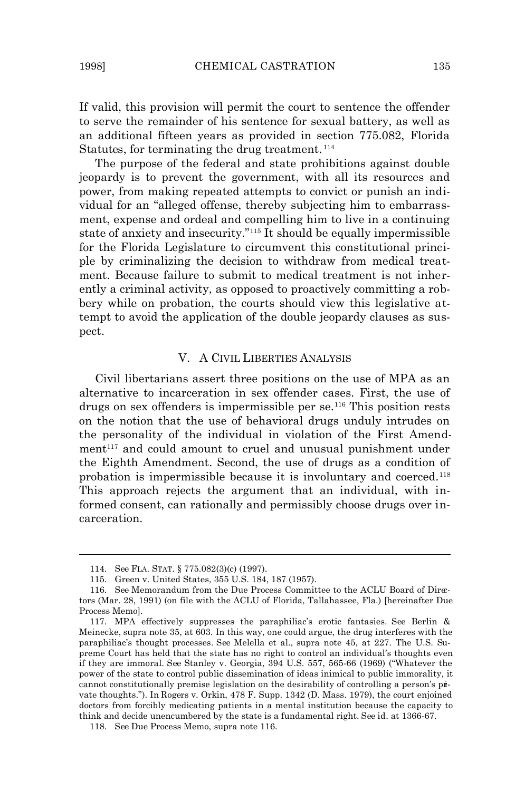If valid, this provision will permit the court to sentence the offender to serve the remainder of his sentence for sexual battery, as well as an additional fifteen years as provided in section 775.082, *Florida* Statutes, for terminating the drug treatment.<sup>114</sup>

The purpose of the federal and state prohibitions against double jeopardy is to prevent the government, with all its resources and power, from making repeated attempts to convict or punish an individual for an "alleged offense, thereby subjecting him to embarrassment, expense and ordeal and compelling him to live in a continuing state of anxiety and insecurity."115 It should be equally impermissible for the Florida Legislature to circumvent this constitutional principle by criminalizing the decision to withdraw from medical treatment. Because failure to submit to medical treatment is not inherently a criminal activity, as opposed to proactively committing a robbery while on probation, the courts should view this legislative attempt to avoid the application of the double jeopardy clauses as suspect.

#### V. A CIVIL LIBERTIES ANALYSIS

Civil libertarians assert three positions on the use of MPA as an alternative to incarceration in sex offender cases. First, the use of drugs on sex offenders is impermissible per se.116 This position rests on the notion that the use of behavioral drugs unduly intrudes on the personality of the individual in violation of the First Amendment<sup>117</sup> and could amount to cruel and unusual punishment under the Eighth Amendment. Second, the use of drugs as a condition of probation is impermissible because it is involuntary and coerced.<sup>118</sup> This approach rejects the argument that an individual, with informed consent, can rationally and permissibly choose drugs over incarceration.

-

<sup>114.</sup> *See* FLA. STAT. § 775.082(3)(c) (1997).

<sup>115.</sup> Green v. United States, 355 U.S. 184, 187 (1957).

<sup>116.</sup> *See* Memorandum from the Due Process Committee to the ACLU Board of Directors (Mar. 28, 1991) (on file with the ACLU of Florida, Tallahassee, Fla.) [hereinafter Due Process Memo].

<sup>117.</sup> MPA effectively suppresses the paraphiliac's erotic fantasies. *See* Berlin & Meinecke, *supra* note 35, at 603. In this way, one could argue, the drug interferes with the paraphiliac's thought processes. *See* Melella et al., *supra* note 45, at 227. The U.S. Supreme Court has held that the state has no right to control an individual's thoughts even if they are immoral. *See* Stanley v. Georgia, 394 U.S. 557, 565-66 (1969) ("Whatever the power of the state to control public dissemination of ideas inimical to public immorality, it cannot constitutionally premise legislation on the desirability of controlling a person's private thoughts."). In *Rogers v. Orkin*, 478 F. Supp. 1342 (D. Mass. 1979), the court enjoined doctors from forcibly medicating patients in a mental institution because the capacity to think and decide unencumbered by the state is a fundamental right. *See id.* at 1366-67.

<sup>118.</sup> *See* Due Process Memo, *supra* note 116.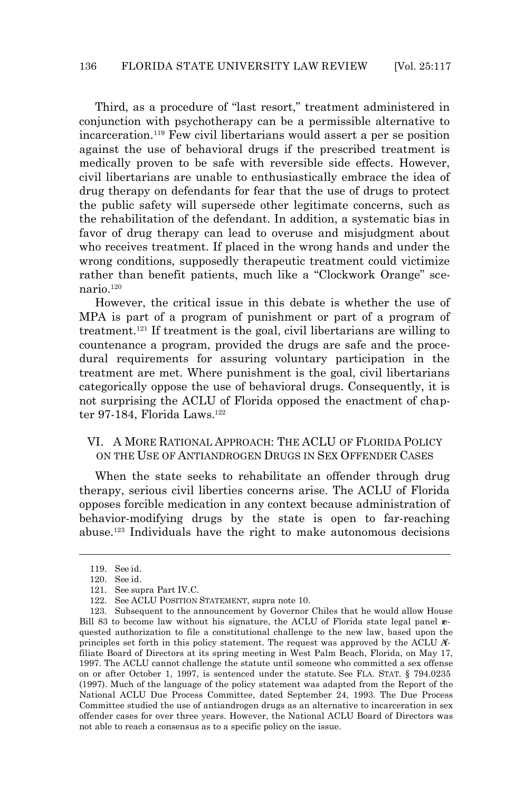Third, as a procedure of "last resort," treatment administered in conjunction with psychotherapy can be a permissible alternative to incarceration.119 Few civil libertarians would assert a per se position against the use of behavioral drugs if the prescribed treatment is medically proven to be safe with reversible side effects. However, civil libertarians are unable to enthusiastically embrace the idea of drug therapy on defendants for fear that the use of drugs to protect the public safety will supersede other legitimate concerns, such as the rehabilitation of the defendant. In addition, a systematic bias in favor of drug therapy can lead to overuse and misjudgment about who receives treatment. If placed in the wrong hands and under the wrong conditions, supposedly therapeutic treatment could victimize rather than benefit patients, much like a "Clockwork Orange" sce $nario.<sup>120</sup>$ 

However, the critical issue in this debate is whether the use of MPA is part of a program of punishment or part of a program of treatment.121 If treatment is the goal, civil libertarians are willing to countenance a program, provided the drugs are safe and the procedural requirements for assuring voluntary participation in the treatment are met. Where punishment is the goal, civil libertarians categorically oppose the use of behavioral drugs. Consequently, it is not surprising the ACLU of Florida opposed the enactment of chapter 97-184, Florida Laws.<sup>122</sup>

#### VI. A MORE RATIONAL APPROACH: THE ACLU OF FLORIDA POLICY ON THE USE OF ANTIANDROGEN DRUGS IN SEX OFFENDER CASES

When the state seeks to rehabilitate an offender through drug therapy, serious civil liberties concerns arise. The ACLU of Florida opposes forcible medication in any context because administration of behavior-modifying drugs by the state is open to far-reaching abuse.123 Individuals have the right to make autonomous decisions

-

<sup>119.</sup> *See id*.

<sup>120.</sup> *See id.*

<sup>121.</sup> *See supra* Part IV.C.

<sup>122.</sup> *See* ACLU POSITION STATEMENT, *supra* note 10.

<sup>123.</sup> Subsequent to the announcement by Governor Chiles that he would allow House Bill 83 to become law without his signature, the ACLU of Florida state legal panel requested authorization to file a constitutional challenge to the new law, based upon the principles set forth in this policy statement. The request was approved by the ACLU Affiliate Board of Directors at its spring meeting in West Palm Beach, Florida, on May 17, 1997. The ACLU cannot challenge the statute until someone who committed a sex offense on or after October 1, 1997, is sentenced under the statute. *See* FLA. STAT. § 794.0235 (1997). Much of the language of the policy statement was adapted from the Report of the National ACLU Due Process Committee, dated September 24, 1993. The Due Process Committee studied the use of antiandrogen drugs as an alternative to incarceration in sex offender cases for over three years. However, the National ACLU Board of Directors was not able to reach a consensus as to a specific policy on the issue.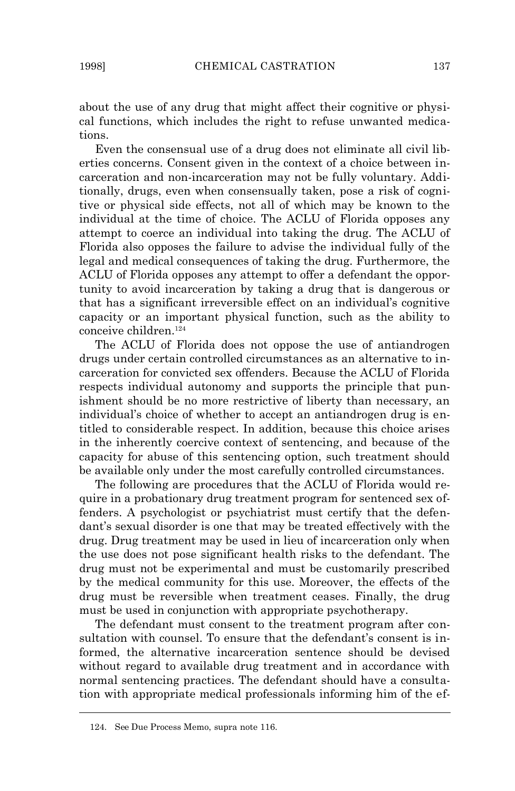about the use of any drug that might affect their cognitive or physical functions, which includes the right to refuse unwanted medications.

Even the consensual use of a drug does not eliminate all civil liberties concerns. Consent given in the context of a choice between incarceration and non-incarceration may not be fully voluntary. Additionally, drugs, even when consensually taken, pose a risk of cognitive or physical side effects, not all of which may be known to the individual at the time of choice. The ACLU of Florida opposes any attempt to coerce an individual into taking the drug. The ACLU of Florida also opposes the failure to advise the individual fully of the legal and medical consequences of taking the drug. Furthermore, the ACLU of Florida opposes any attempt to offer a defendant the opportunity to avoid incarceration by taking a drug that is dangerous or that has a significant irreversible effect on an individual's cognitive capacity or an important physical function, such as the ability to conceive children.<sup>124</sup>

The ACLU of Florida does not oppose the use of antiandrogen drugs under certain controlled circumstances as an alternative to incarceration for convicted sex offenders. Because the ACLU of Florida respects individual autonomy and supports the principle that punishment should be no more restrictive of liberty than necessary, an individual's choice of whether to accept an antiandrogen drug is entitled to considerable respect. In addition, because this choice arises in the inherently coercive context of sentencing, and because of the capacity for abuse of this sentencing option, such treatment should be available only under the most carefully controlled circumstances.

The following are procedures that the ACLU of Florida would require in a probationary drug treatment program for sentenced sex offenders. A psychologist or psychiatrist must certify that the defendant's sexual disorder is one that may be treated effectively with the drug. Drug treatment may be used in lieu of incarceration only when the use does not pose significant health risks to the defendant. The drug must not be experimental and must be customarily prescribed by the medical community for this use. Moreover, the effects of the drug must be reversible when treatment ceases. Finally, the drug must be used in conjunction with appropriate psychotherapy.

The defendant must consent to the treatment program after consultation with counsel. To ensure that the defendant's consent is informed, the alternative incarceration sentence should be devised without regard to available drug treatment and in accordance with normal sentencing practices. The defendant should have a consultation with appropriate medical professionals informing him of the ef-

<sup>124.</sup> *See* Due Process Memo, *supra* note 116.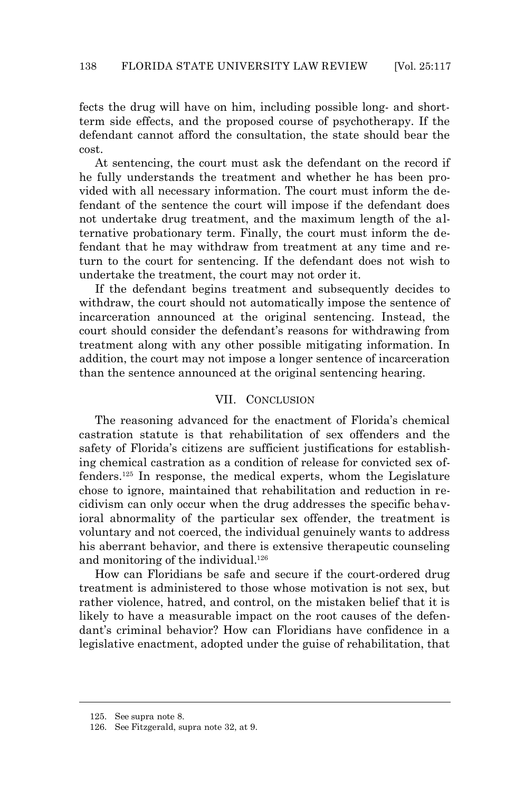fects the drug will have on him, including possible long- and shortterm side effects, and the proposed course of psychotherapy. If the defendant cannot afford the consultation, the state should bear the cost.

At sentencing, the court must ask the defendant on the record if he fully understands the treatment and whether he has been provided with all necessary information. The court must inform the defendant of the sentence the court will impose if the defendant does not undertake drug treatment, and the maximum length of the alternative probationary term. Finally, the court must inform the defendant that he may withdraw from treatment at any time and return to the court for sentencing. If the defendant does not wish to undertake the treatment, the court may not order it.

If the defendant begins treatment and subsequently decides to withdraw, the court should not automatically impose the sentence of incarceration announced at the original sentencing. Instead, the court should consider the defendant's reasons for withdrawing from treatment along with any other possible mitigating information. In addition, the court may not impose a longer sentence of incarceration than the sentence announced at the original sentencing hearing.

#### VII. CONCLUSION

The reasoning advanced for the enactment of Florida's chemical castration statute is that rehabilitation of sex offenders and the safety of Florida's citizens are sufficient justifications for establishing chemical castration as a condition of release for convicted sex offenders.125 In response, the medical experts, whom the Legislature chose to ignore, maintained that rehabilitation and reduction in recidivism can only occur when the drug addresses the specific behavioral abnormality of the particular sex offender, the treatment is voluntary and not coerced, the individual genuinely wants to address his aberrant behavior, and there is extensive therapeutic counseling and monitoring of the individual.<sup>126</sup>

How can Floridians be safe and secure if the court-ordered drug treatment is administered to those whose motivation is not sex, but rather violence, hatred, and control, on the mistaken belief that it is likely to have a measurable impact on the root causes of the defendant's criminal behavior? How can Floridians have confidence in a legislative enactment, adopted under the guise of rehabilitation, that

<sup>125.</sup> *See supra* note 8.

<sup>126.</sup> *See* Fitzgerald, *supra* note 32, at 9.